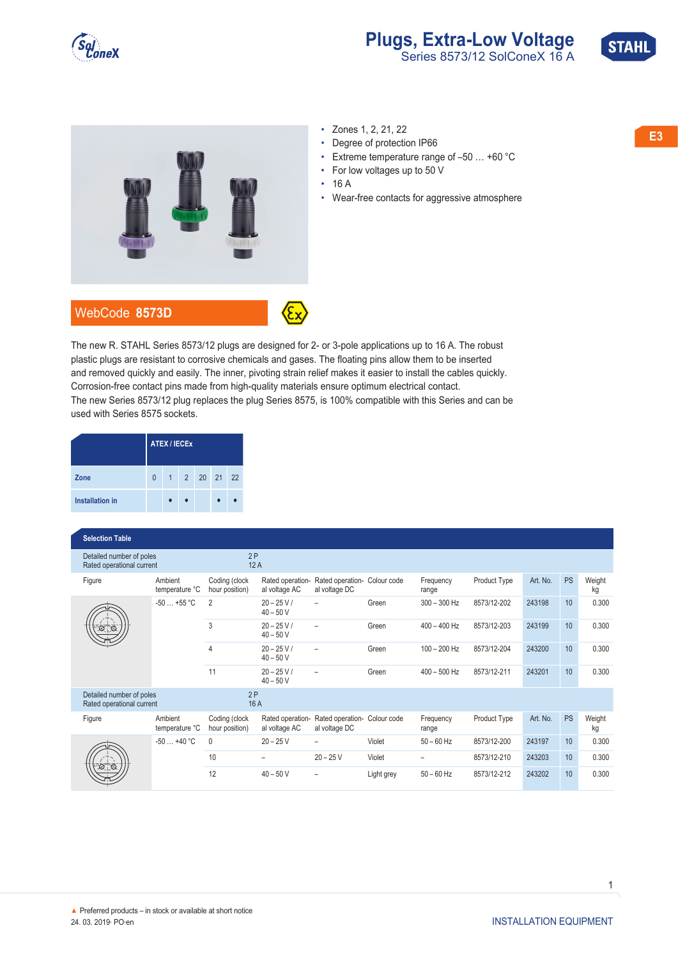

## **Plugs, Extra-Low Voltage**<br>Series 8573/12 SolConeX 16 A



- 
- Degree of protection IP66
- Extreme temperature range of –50 … +60 °C
- For low voltages up to 50 V
- 16 A
- Wear-free contacts for aggressive atmosphere



The new R. STAHL Series 8573/12 plugs are designed for 2- or 3-pole applications up to 16 A. The robust plastic plugs are resistant to corrosive chemicals and gases. The floating pins allow them to be inserted and removed quickly and easily. The inner, pivoting strain relief makes it easier to install the cables quickly. Corrosion-free contact pins made from high-quality materials ensure optimum electrical contact. The new Series 8573/12 plug replaces the plug Series 8575, is 100% compatible with this Series and can be used with Series 8575 sockets.

|                        | <b>ATEX / IECEX</b> |  |  |              |  |  |  |  |  |
|------------------------|---------------------|--|--|--------------|--|--|--|--|--|
| Zone                   | $\Omega$            |  |  | 1 2 20 21 22 |  |  |  |  |  |
| <b>Installation in</b> |                     |  |  |              |  |  |  |  |  |

## **◤Selection Table**

| Detailed number of poles<br>Rated operational current |                           |                                 | 2P<br>12A                         |                                               |             |                    |              |          |           |              |  |
|-------------------------------------------------------|---------------------------|---------------------------------|-----------------------------------|-----------------------------------------------|-------------|--------------------|--------------|----------|-----------|--------------|--|
| Figure                                                | Ambient<br>temperature °C | Coding (clock<br>hour position) | Rated operation-<br>al voltage AC | Rated operation- Colour code<br>al voltage DC |             | Frequency<br>range | Product Type | Art. No. | <b>PS</b> | Weight<br>kg |  |
|                                                       | $-50+55$ °C               | 2                               | $20 - 25 V/$<br>$40 - 50V$        | ۳                                             | Green       | $300 - 300$ Hz     | 8573/12-202  | 243198   | 10        | 0.300        |  |
|                                                       |                           | 3                               | $20 - 25 V/$<br>$40 - 50V$        | $\overline{\phantom{0}}$                      | Green       | $400 - 400$ Hz     | 8573/12-203  | 243199   | 10        | 0.300        |  |
|                                                       |                           | $\overline{4}$                  | $20 - 25 V/$<br>$40 - 50V$        |                                               | Green       | $100 - 200$ Hz     | 8573/12-204  | 243200   | 10        | 0.300        |  |
|                                                       |                           | 11                              | $20 - 25 V/$<br>$40 - 50V$        | $\equiv$                                      | Green       | $400 - 500$ Hz     | 8573/12-211  | 243201   | 10        | 0.300        |  |
| Detailed number of poles<br>Rated operational current |                           | 2P                              | 16 A                              |                                               |             |                    |              |          |           |              |  |
| Figure                                                | Ambient<br>temperature °C | Coding (clock<br>hour position) | Rated operation-<br>al voltage AC | Rated operation-<br>al voltage DC             | Colour code | Frequency<br>range | Product Type | Art. No. | <b>PS</b> | Weight<br>kg |  |
|                                                       | $-50+40$ °C               | $\mathbf{0}$                    | $20 - 25V$                        | -                                             | Violet      | $50 - 60$ Hz       | 8573/12-200  | 243197   | 10        | 0.300        |  |
|                                                       |                           | 10                              |                                   | $20 - 25V$                                    | Violet      |                    | 8573/12-210  | 243203   | 10        | 0.300        |  |
|                                                       |                           | 12                              | $40 - 50V$                        |                                               | Light grey  | $50 - 60$ Hz       | 8573/12-212  | 243202   | 10        | 0.300        |  |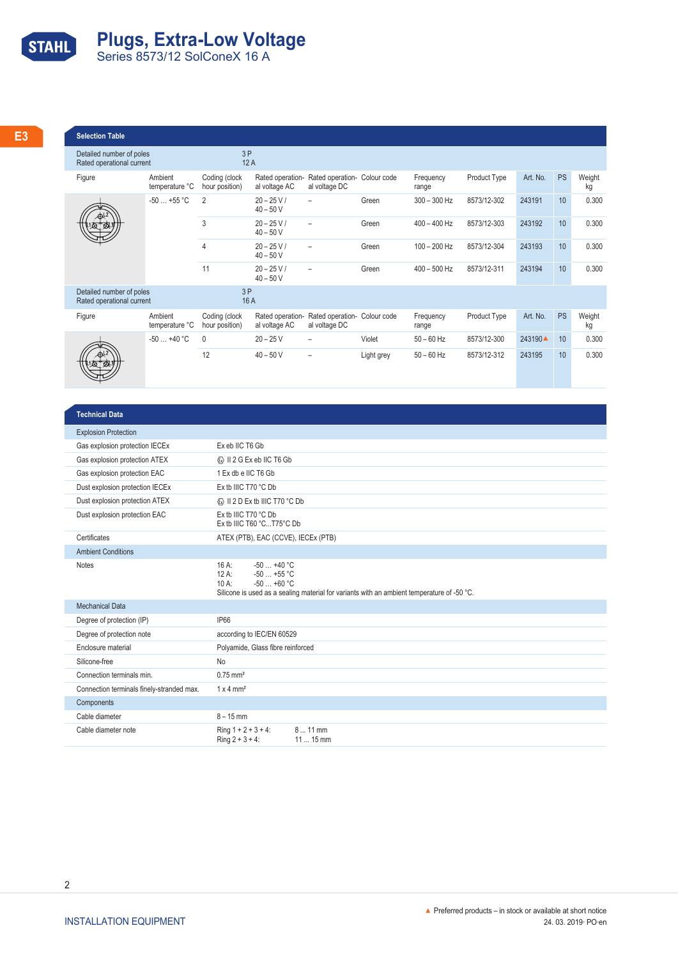

| <b>Selection Table</b>                                |                                          |               |                            |                                                                              |            |                    |              |                    |    |       |
|-------------------------------------------------------|------------------------------------------|---------------|----------------------------|------------------------------------------------------------------------------|------------|--------------------|--------------|--------------------|----|-------|
| Detailed number of poles<br>Rated operational current |                                          | 3P            | 12A                        |                                                                              |            |                    |              |                    |    |       |
| Figure                                                | Ambient<br>temperature °C hour position) | Coding (clock | al voltage AC              | Rated operation- Rated operation- Colour code<br>al voltage DC               |            | Frequency<br>range | Product Type | Art. No. PS Weight |    | kg    |
| $\frac{1}{\sqrt{\frac{1}{2}}\cdot\frac{1}{2}}$        | $-50+55 °C$ 2                            |               | $20 - 25 V/$<br>$40 - 50V$ | $-$                                                                          | Green      | $300 - 300$ Hz     | 8573/12-302  | 243191             |    | 0.300 |
|                                                       |                                          |               | $20 - 25 V/$<br>$40 - 50V$ | $-$                                                                          | Green      | 400 - 400 Hz       | 8573/12-303  | 243192             | 10 | 0.300 |
|                                                       |                                          |               | $20 - 25 V/$<br>$40 - 50V$ | $\overline{\phantom{0}}$                                                     | Green      | 100 - 200 Hz       | 8573/12-304  | 243193             | 10 | 0.300 |
|                                                       |                                          | 11            | $20 - 25 V/$<br>$40 - 50V$ | $\overline{\phantom{0}}$                                                     | Green      | $400 - 500$ Hz     | 8573/12-311  | 243194             | 10 | 0.300 |
| Detailed number of poles<br>Rated operational current |                                          | 3P            | 16 A                       |                                                                              |            |                    |              |                    |    |       |
| Figure                                                | Ambient<br>temperature °C hour position) | Coding (clock |                            | Rated operation- Rated operation- Colour code<br>al voltage AC al voltage DC |            | Frequency<br>range | Product Type | Art. No. PS Weight |    | kg    |
| $\frac{1}{\left(\frac{1}{2}, \frac{1}{2}\right)}$     | $-50+40 °C$ 0                            |               | $20 - 25V$                 | $\overline{\phantom{a}}$                                                     | Violet     | $50 - 60$ Hz       | 8573/12-300  | 243190▲ 10         |    | 0.300 |
|                                                       |                                          | 12            | $40 - 50V$                 | $-$                                                                          | Light grey | $50 - 60$ Hz       | 8573/12-312  | 243195             | 10 | 0.300 |

| <b>Technical Data</b>                     |                                                                                                                                                                                      |
|-------------------------------------------|--------------------------------------------------------------------------------------------------------------------------------------------------------------------------------------|
| <b>Explosion Protection</b>               |                                                                                                                                                                                      |
| Gas explosion protection IECEx            | Ex eb IIC T6 Gb                                                                                                                                                                      |
| Gas explosion protection ATEX             | <b>E</b> II 2 G Ex eb IIC T6 Gb                                                                                                                                                      |
| Gas explosion protection EAC              | 1 Ex db e IIC T6 Gb                                                                                                                                                                  |
| Dust explosion protection IECEx           | Ex tb IIIC T70 °C Db                                                                                                                                                                 |
| Dust explosion protection ATEX            | <b>E</b> II 2 D Ex tb IIIC T70 °C Db                                                                                                                                                 |
| Dust explosion protection EAC             | Ex tb IIIC T70 °C Db<br>Ex tb IIIC T60 °CT75°C Db                                                                                                                                    |
| Certificates                              | ATEX (PTB), EAC (CCVE), IECEx (PTB)                                                                                                                                                  |
| <b>Ambient Conditions</b>                 |                                                                                                                                                                                      |
| <b>Notes</b>                              | $-50+40$ °C<br>$16A$ :<br>$-50$ $+55$ °C<br>$12A$ :<br>$-50+60$ °C<br>$10 \text{ A}$ :<br>Silicone is used as a sealing material for variants with an ambient temperature of -50 °C. |
| <b>Mechanical Data</b>                    |                                                                                                                                                                                      |
| Degree of protection (IP)                 | <b>IP66</b>                                                                                                                                                                          |
| Degree of protection note                 | according to IEC/EN 60529                                                                                                                                                            |
| Enclosure material                        | Polyamide, Glass fibre reinforced                                                                                                                                                    |
| Silicone-free                             | <b>No</b>                                                                                                                                                                            |
| Connection terminals min.                 | $0.75$ mm <sup>2</sup>                                                                                                                                                               |
| Connection terminals finely-stranded max. | $1 \times 4$ mm <sup>2</sup>                                                                                                                                                         |
| Components                                |                                                                                                                                                                                      |
| Cable diameter                            | $8 - 15$ mm                                                                                                                                                                          |
| Cable diameter note                       | Ring $1 + 2 + 3 + 4$ :<br>$811$ mm<br>Ring $2 + 3 + 4$ :<br>$1115$ mm                                                                                                                |